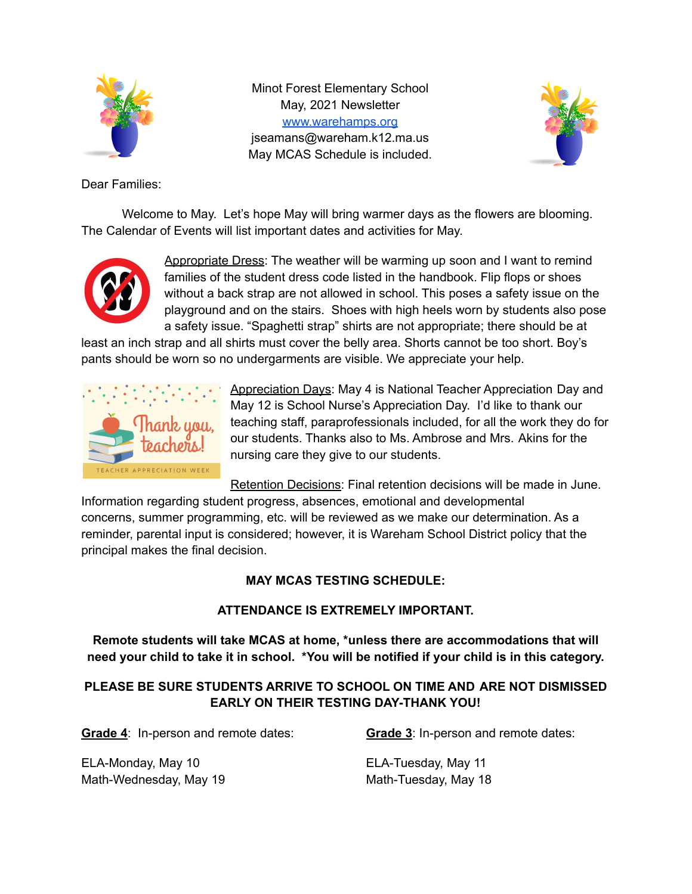

Minot Forest Elementary School May, 2021 Newsletter [www.warehamps.org](http://www.warehamps.org/) jseamans@wareham.k12.ma.us May MCAS Schedule is included.



Dear Families:

Welcome to May. Let's hope May will bring warmer days as the flowers are blooming. The Calendar of Events will list important dates and activities for May.



Appropriate Dress: The weather will be warming up soon and I want to remind families of the student dress code listed in the handbook. Flip flops or shoes without a back strap are not allowed in school. This poses a safety issue on the playground and on the stairs. Shoes with high heels worn by students also pose a safety issue. "Spaghetti strap" shirts are not appropriate; there should be at

least an inch strap and all shirts must cover the belly area. Shorts cannot be too short. Boy's pants should be worn so no undergarments are visible. We appreciate your help.



Appreciation Days: May 4 is National Teacher Appreciation Day and May 12 is School Nurse's Appreciation Day. I'd like to thank our teaching staff, paraprofessionals included, for all the work they do for our students. Thanks also to Ms. Ambrose and Mrs. Akins for the nursing care they give to our students.

Retention Decisions: Final retention decisions will be made in June.

Information regarding student progress, absences, emotional and developmental concerns, summer programming, etc. will be reviewed as we make our determination. As a reminder, parental input is considered; however, it is Wareham School District policy that the principal makes the final decision.

## **MAY MCAS TESTING SCHEDULE:**

## **ATTENDANCE IS EXTREMELY IMPORTANT.**

**Remote students will take MCAS at home, \*unless there are accommodations that will** need your child to take it in school. \*You will be notified if your child is in this category.

## **PLEASE BE SURE STUDENTS ARRIVE TO SCHOOL ON TIME AND ARE NOT DISMISSED EARLY ON THEIR TESTING DAY-THANK YOU!**

**Grade 4**: In-person and remote dates: **Grade 3**: In-person and remote dates:

ELA-Monday, May 10 ELA-Tuesday, May 11 Math-Wednesday, May 19 Math-Tuesday, May 18